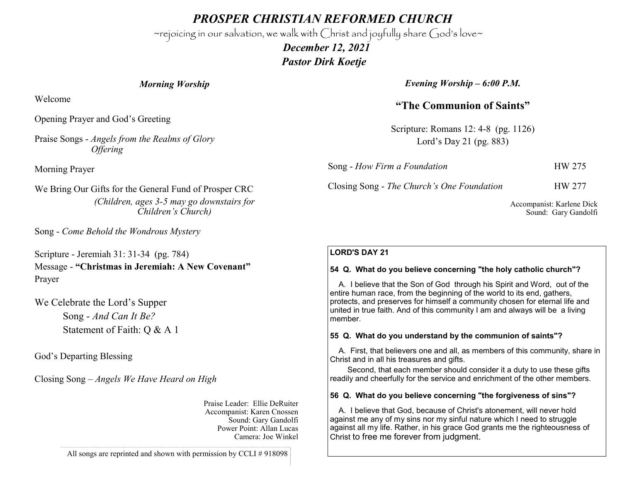*PROSPER CHRISTIAN REFORMED CHURCH*

~rejoicing in our salvation, we walk with Christ and joyfully share God's love~

 *December 12, 2021 Pastor Dirk Koetje* 

*Morning Worship*

Welcome

Opening Prayer and God's Greeting

Praise Songs - *Angels from the Realms of Glory Offering*

Morning Prayer

We Bring Our Gifts for the General Fund of Prosper CRC *(Children, ages 3-5 may go downstairs for Children's Church)*

Song - *Come Behold the Wondrous Mystery*

Scripture - Jeremiah 31: 31-34 (pg. 784) Message - **"Christmas in Jeremiah: A New Covenant"** Prayer

We Celebrate the Lord's Supper Song - *And Can It Be?* Statement of Faith: Q & A 1

God's Departing Blessing

Closing Song – *Angels We Have Heard on High*

Praise Leader: Ellie DeRuiter Accompanist: Karen Cnossen Sound: Gary Gandolfi Power Point: Allan Lucas Camera: Joe Winkel

*Evening Worship – 6:00 P.M.*

**"The Communion of Saints"**

Scripture: Romans 12: 4-8 (pg. 1126) Lord's Day 21 (pg. 883)

Song - *How Firm a Foundation* HW 275

Closing Song - *The Church's One Foundation* HW 277

Accompanist: Karlene Dick Sound: Gary Gandolfi

## **LORD'S DAY 21**

### **54 Q. What do you believe concerning "the holy catholic church"?**

 A. I believe that the Son of God through his Spirit and Word, out of the entire human race, from the beginning of the world to its end, gathers, protects, and preserves for himself a community chosen for eternal life and united in true faith. And of this community I am and always will be a living member.

### **55 Q. What do you understand by the communion of saints"?**

 A. First, that believers one and all, as members of this community, share in Christ and in all his treasures and gifts.

 Second, that each member should consider it a duty to use these gifts readily and cheerfully for the service and enrichment of the other members.

### **56 Q. What do you believe concerning "the forgiveness of sins"?**

 A. I believe that God, because of Christ's atonement, will never hold against me any of my sins nor my sinful nature which I need to struggle against all my life. Rather, in his grace God grants me the righteousness of Christ to free me forever from judgment.